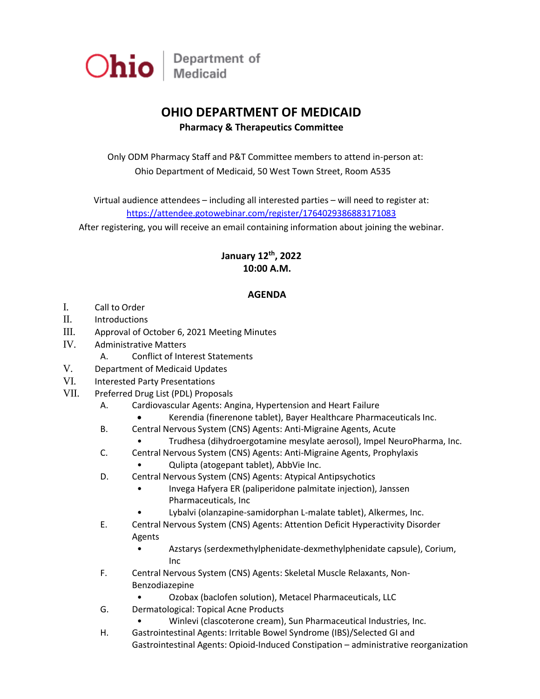

## **OHIO DEPARTMENT OF MEDICAID**

## **Pharmacy & Therapeutics Committee**

Only ODM Pharmacy Staff and P&T Committee members to attend in-person at: Ohio Department of Medicaid, 50 West Town Street, Room A535

Virtual audience attendees – including all interested parties – will need to register at: <https://attendee.gotowebinar.com/register/1764029386883171083>

After registering, you will receive an email containing information about joining the webinar.

## **January 12 th, 2022 10:00 A.M.**

## **AGENDA**

- I. Call to Order
- II. Introductions
- III. Approval of October 6, 2021 Meeting Minutes
- IV. Administrative Matters
	- A. Conflict of Interest Statements
- V. Department of Medicaid Updates
- VI. Interested Party Presentations
- VII. Preferred Drug List (PDL) Proposals
	- A. Cardiovascular Agents: Angina, Hypertension and Heart Failure
		- Kerendia (finerenone tablet), Bayer Healthcare Pharmaceuticals Inc.
	- B. Central Nervous System (CNS) Agents: Anti-Migraine Agents, Acute
		- Trudhesa (dihydroergotamine mesylate aerosol), Impel NeuroPharma, Inc.
	- C. Central Nervous System (CNS) Agents: Anti-Migraine Agents, Prophylaxis
		- Qulipta (atogepant tablet), AbbVie Inc.
	- D. Central Nervous System (CNS) Agents: Atypical Antipsychotics
		- Invega Hafyera ER (paliperidone palmitate injection), Janssen Pharmaceuticals, Inc
		- Lybalvi (olanzapine-samidorphan L-malate tablet), Alkermes, Inc.
	- E. Central Nervous System (CNS) Agents: Attention Deficit Hyperactivity Disorder Agents
		- Azstarys (serdexmethylphenidate-dexmethylphenidate capsule), Corium, Inc
	- F. Central Nervous System (CNS) Agents: Skeletal Muscle Relaxants, Non-Benzodiazepine
		- Ozobax (baclofen solution), Metacel Pharmaceuticals, LLC
	- G. Dermatological: Topical Acne Products
		- Winlevi (clascoterone cream), Sun Pharmaceutical Industries, Inc.
	- H. Gastrointestinal Agents: Irritable Bowel Syndrome (IBS)/Selected GI and Gastrointestinal Agents: Opioid-Induced Constipation – administrative reorganization